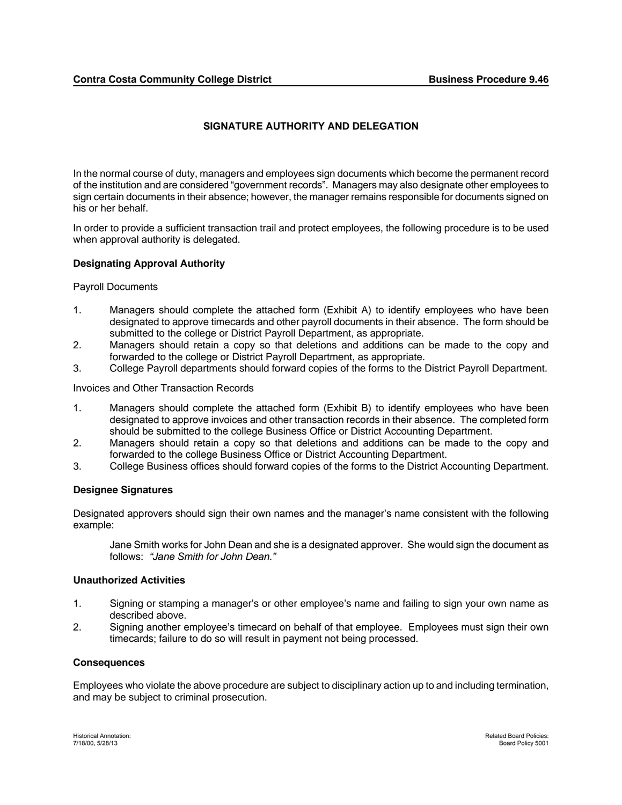# **SIGNATURE AUTHORITY AND DELEGATION**

In the normal course of duty, managers and employees sign documents which become the permanent record of the institution and are considered "government records". Managers may also designate other employees to sign certain documents in their absence; however, the manager remains responsible for documents signed on his or her behalf.

In order to provide a sufficient transaction trail and protect employees, the following procedure is to be used when approval authority is delegated.

## **Designating Approval Authority**

Payroll Documents

- 1. Managers should complete the attached form (Exhibit A) to identify employees who have been designated to approve timecards and other payroll documents in their absence. The form should be submitted to the college or District Payroll Department, as appropriate.
- 2. Managers should retain a copy so that deletions and additions can be made to the copy and forwarded to the college or District Payroll Department, as appropriate.
- 3. College Payroll departments should forward copies of the forms to the District Payroll Department.

Invoices and Other Transaction Records

- 1. Managers should complete the attached form (Exhibit B) to identify employees who have been designated to approve invoices and other transaction records in their absence. The completed form should be submitted to the college Business Office or District Accounting Department.
- 2. Managers should retain a copy so that deletions and additions can be made to the copy and forwarded to the college Business Office or District Accounting Department.
- 3. College Business offices should forward copies of the forms to the District Accounting Department.

#### **Designee Signatures**

Designated approvers should sign their own names and the manager's name consistent with the following example:

Jane Smith works for John Dean and she is a designated approver. She would sign the document as follows: *"Jane Smith for John Dean."*

#### **Unauthorized Activities**

- 1. Signing or stamping a manager's or other employee's name and failing to sign your own name as described above.
- 2. Signing another employee's timecard on behalf of that employee. Employees must sign their own timecards; failure to do so will result in payment not being processed.

#### **Consequences**

Employees who violate the above procedure are subject to disciplinary action up to and including termination, and may be subject to criminal prosecution.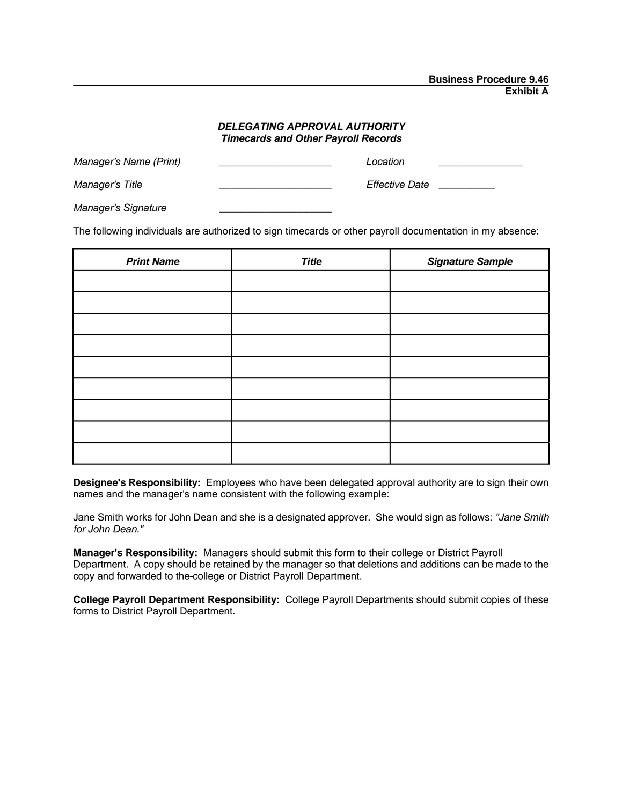### *DELEGATING APPROVAL AUTHORITY Timecards and Other Payroll Records*

| Manager's Name (Print) | Location       |
|------------------------|----------------|
| Manager's Title        | Effective Date |
| Manager's Signature    |                |

The following individuals are authorized to sign timecards or other payroll documentation in my absence:

| <b>Print Name</b> | <b>Title</b> | <b>Signature Sample</b> |
|-------------------|--------------|-------------------------|
|                   |              |                         |
|                   |              |                         |
|                   |              |                         |
|                   |              |                         |
|                   |              |                         |
|                   |              |                         |
|                   |              |                         |
|                   |              |                         |
|                   |              |                         |

**Designee's Responsibility:** Employees who have been delegated approval authority are to sign their own names and the manager's name consistent with the following example:

Jane Smith works for John Dean and she is a designated approver. She would sign as follows: *"Jane Smith for John Dean."* 

**Manager's Responsibility:** Managers should submit this form to their college or District Payroll Department. A copy should be retained by the manager so that deletions and additions can be made to the copy and forwarded to the college or District Payroll Department.

**College Payroll Department Responsibility:** College Payroll Departments should submit copies of these forms to District Payroll Department.